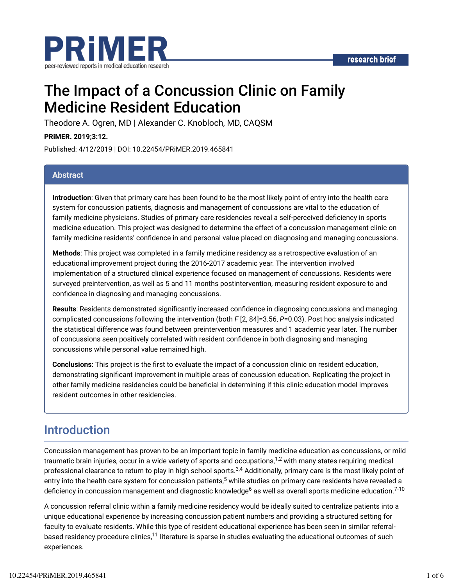

# The Impact of a Concussion Clinic on Family Medicine Resident Education

Theodore A. Ogren, MD | Alexander C. Knobloch, MD, CAQSM

**PRiMER. 2019;3:12.**

Published: 4/12/2019 | DOI: 10.22454/PRiMER.2019.465841

#### **Abstract**

**Introduction**: Given that primary care has been found to be the most likely point of entry into the health care system for concussion patients, diagnosis and management of concussions are vital to the education of family medicine physicians. Studies of primary care residencies reveal a self-perceived deficiency in sports medicine education. This project was designed to determine the effect of a concussion management clinic on family medicine residents' confidence in and personal value placed on diagnosing and managing concussions.

**Methods**: This project was completed in a family medicine residency as a retrospective evaluation of an educational improvement project during the 2016-2017 academic year. The intervention involved implementation of a structured clinical experience focused on management of concussions. Residents were surveyed preintervention, as well as 5 and 11 months postintervention, measuring resident exposure to and confidence in diagnosing and managing concussions.

**Results:** Residents demonstrated significantly increased confidence in diagnosing concussions and managing complicated concussions following the intervention (both *F* [2, 84]=3.56, *P*=0.03). Post hoc analysis indicated the statistical difference was found between preintervention measures and 1 academic year later. The number of concussions seen positively correlated with resident confidence in both diagnosing and managing concussions while personal value remained high.

**Conclusions**: This project is the first to evaluate the impact of a concussion clinic on resident education, demonstrating significant improvement in multiple areas of concussion education. Replicating the project in other family medicine residencies could be beneficial in determining if this clinic education model improves resident outcomes in other residencies.

# Introduction

Concussion management has proven to be an important topic in family medicine education as concussions, or mild traumatic brain injuries, occur in a wide variety of sports and occupations, $^{1,2}$  with many states requiring medical professional clearance to return to play in high school sports.<sup>3,4</sup> Additionally, primary care is the most likely point of entry into the health care system for concussion patients,<sup>5</sup> while studies on primary care residents have revealed a deficiency in concussion management and diagnostic knowledge<sup>6</sup> as well as overall sports medicine education.<sup>7-10</sup>

A concussion referral clinic within a family medicine residency would be ideally suited to centralize patients into a unique educational experience by increasing concussion patient numbers and providing a structured setting for faculty to evaluate residents. While this type of resident educational experience has been seen in similar referralbased residency procedure clinics, $^{11}$  literature is sparse in studies evaluating the educational outcomes of such experiences.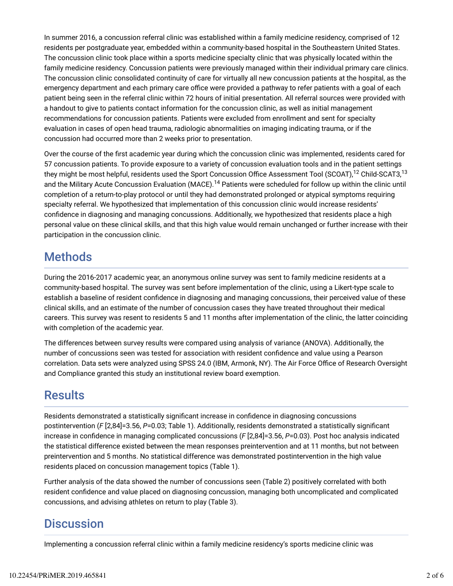In summer 2016, a concussion referral clinic was established within a family medicine residency, comprised of 12 residents per postgraduate year, embedded within a community-based hospital in the Southeastern United States. The concussion clinic took place within a sports medicine specialty clinic that was physically located within the family medicine residency. Concussion patients were previously managed within their individual primary care clinics. The concussion clinic consolidated continuity of care for virtually all new concussion patients at the hospital, as the emergency department and each primary care office were provided a pathway to refer patients with a goal of each patient being seen in the referral clinic within 72 hours of initial presentation. All referral sources were provided with a handout to give to patients contact information for the concussion clinic, as well as initial management recommendations for concussion patients. Patients were excluded from enrollment and sent for specialty evaluation in cases of open head trauma, radiologic abnormalities on imaging indicating trauma, or if the concussion had occurred more than 2 weeks prior to presentation.

Over the course of the first academic year during which the concussion clinic was implemented, residents cared for 57 concussion patients. To provide exposure to a variety of concussion evaluation tools and in the patient settings they might be most helpful, residents used the Sport Concussion Office Assessment Tool (SCOAT), $^{12}$  Child-SCAT3, $^{13}$ and the Military Acute Concussion Evaluation (MACE).<sup>14</sup> Patients were scheduled for follow up within the clinic until completion of a return-to-play protocol or until they had demonstrated prolonged or atypical symptoms requiring specialty referral. We hypothesized that implementation of this concussion clinic would increase residents' confidence in diagnosing and managing concussions. Additionally, we hypothesized that residents place a high personal value on these clinical skills, and that this high value would remain unchanged or further increase with their participation in the concussion clinic.

# **Methods**

During the 2016-2017 academic year, an anonymous online survey was sent to family medicine residents at a community-based hospital. The survey was sent before implementation of the clinic, using a Likert-type scale to establish a baseline of resident confidence in diagnosing and managing concussions, their perceived value of these clinical skills, and an estimate of the number of concussion cases they have treated throughout their medical careers. This survey was resent to residents 5 and 11 months after implementation of the clinic, the latter coinciding with completion of the academic year.

The differences between survey results were compared using analysis of variance (ANOVA). Additionally, the number of concussions seen was tested for association with resident confidence and value using a Pearson correlation. Data sets were analyzed using SPSS 24.0 (IBM, Armonk, NY). The Air Force Office of Research Oversight and Compliance granted this study an institutional review board exemption.

### **Results**

Residents demonstrated a statistically significant increase in confidence in diagnosing concussions postintervention (*F* [2,84]=3.56, *P*=0.03; Table 1). Additionally, residents demonstrated a statistically significant increase in confidence in managing complicated concussions (F [2,84]=3.56, P=0.03). Post hoc analysis indicated the statistical difference existed between the mean responses preintervention and at 11 months, but not between preintervention and 5 months. No statistical difference was demonstrated postintervention in the high value residents placed on concussion management topics (Table 1).

Further analysis of the data showed the number of concussions seen (Table 2) positively correlated with both resident confidence and value placed on diagnosing concussion, managing both uncomplicated and complicated concussions, and advising athletes on return to play (Table 3).

### **Discussion**

Implementing a concussion referral clinic within a family medicine residency's sports medicine clinic was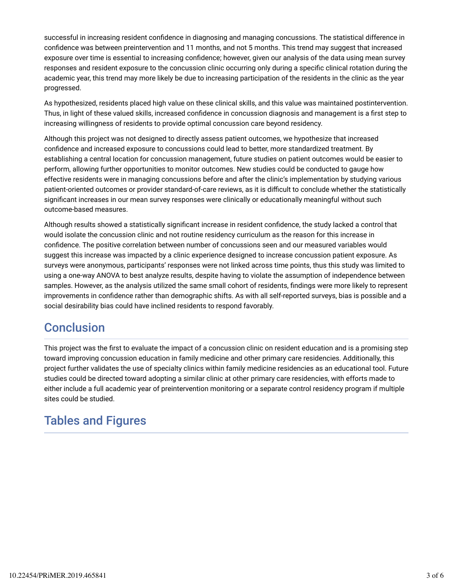successful in increasing resident confidence in diagnosing and managing concussions. The statistical difference in confidence was between preintervention and 11 months, and not 5 months. This trend may suggest that increased exposure over time is essential to increasing confidence; however, given our analysis of the data using mean survey responses and resident exposure to the concussion clinic occurring only during a specific clinical rotation during the academic year, this trend may more likely be due to increasing participation of the residents in the clinic as the year progressed.

As hypothesized, residents placed high value on these clinical skills, and this value was maintained postintervention. Thus, in light of these valued skills, increased confidence in concussion diagnosis and management is a first step to increasing willingness of residents to provide optimal concussion care beyond residency.

Although this project was not designed to directly assess patient outcomes, we hypothesize that increased confidence and increased exposure to concussions could lead to better, more standardized treatment. By establishing a central location for concussion management, future studies on patient outcomes would be easier to perform, allowing further opportunities to monitor outcomes. New studies could be conducted to gauge how effective residents were in managing concussions before and after the clinic's implementation by studying various patient-oriented outcomes or provider standard-of-care reviews, as it is difficult to conclude whether the statistically significant increases in our mean survey responses were clinically or educationally meaningful without such outcome-based measures.

Although results showed a statistically significant increase in resident confidence, the study lacked a control that would isolate the concussion clinic and not routine residency curriculum as the reason for this increase in confidence. The positive correlation between number of concussions seen and our measured variables would suggest this increase was impacted by a clinic experience designed to increase concussion patient exposure. As surveys were anonymous, participants' responses were not linked across time points, thus this study was limited to using a one-way ANOVA to best analyze results, despite having to violate the assumption of independence between samples. However, as the analysis utilized the same small cohort of residents, findings were more likely to represent improvements in confidence rather than demographic shifts. As with all self-reported surveys, bias is possible and a social desirability bias could have inclined residents to respond favorably.

# **Conclusion**

This project was the first to evaluate the impact of a concussion clinic on resident education and is a promising step toward improving concussion education in family medicine and other primary care residencies. Additionally, this project further validates the use of specialty clinics within family medicine residencies as an educational tool. Future studies could be directed toward adopting a similar clinic at other primary care residencies, with efforts made to either include a full academic year of preintervention monitoring or a separate control residency program if multiple sites could be studied.

# Tables and Figures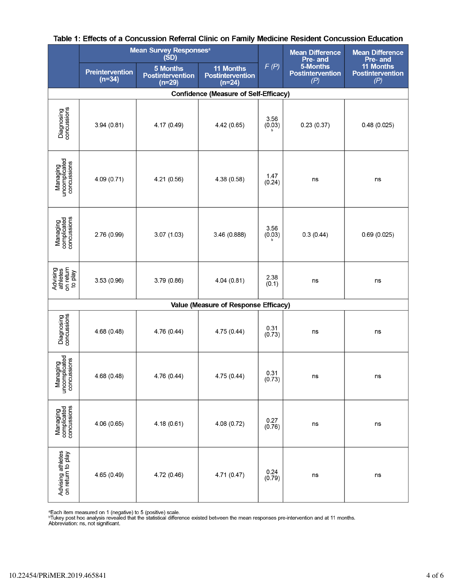|                                              | <b>Mean Survey Responses</b> <sup>a</sup><br>(SD) |                                                 |                                                  |                | <b>Mean Difference</b><br>Pre- and         | <b>Mean Difference</b><br>Pre- and                 |  |  |  |
|----------------------------------------------|---------------------------------------------------|-------------------------------------------------|--------------------------------------------------|----------------|--------------------------------------------|----------------------------------------------------|--|--|--|
|                                              | Preintervention<br>$(n=34)$                       | 5 Months<br><b>Postintervention</b><br>$(n=29)$ | 11 Months<br><b>Postintervention</b><br>$(n=24)$ | F(P)           | 5-Months<br><b>Postintervention</b><br>(P) | <b>11 Months</b><br><b>Postintervention</b><br>(P) |  |  |  |
| <b>Confidence (Measure of Self-Efficacy)</b> |                                                   |                                                 |                                                  |                |                                            |                                                    |  |  |  |
| <b>Diagnosing</b><br>concussions             | 3.94(0.81)                                        | 4.17 (0.49)                                     | 4.42 (0.65)                                      | 3.56<br>(0.03) | 0.23(0.37)                                 | 0.48(0.025)                                        |  |  |  |
| Managing<br>uncomplicated<br>concussions     | 4.09 (0.71)                                       | 4.21 (0.56)                                     | 4.38 (0.58)                                      | 1.47<br>(0.24) | ns                                         | ns                                                 |  |  |  |
| Managing<br>complicated<br>concussions       | 2.76 (0.99)                                       | 3.07(1.03)                                      | 3.46 (0.888)                                     | 3.56<br>(0.03) | 0.3(0.44)                                  | 0.69(0.025)                                        |  |  |  |
| Advising<br>athletes<br>on return<br>to play | 3.53(0.96)                                        | 3.79 (0.86)                                     | 4.04 (0.81)                                      | 2.38<br>(0.1)  | ns                                         | ns                                                 |  |  |  |
| Value (Measure of Response Efficacy)         |                                                   |                                                 |                                                  |                |                                            |                                                    |  |  |  |
| <b>Diagnosing</b><br>concussions             | 4.68 (0.48)                                       | 4.76 (0.44)                                     | 4.75 (0.44)                                      | 0.31<br>(0.73) | ns                                         | ns                                                 |  |  |  |
| Managing<br>uncomplicated<br>concussions     | 4.68 (0.48)                                       | 4.76 (0.44)                                     | 4.75 (0.44)                                      | 0.31<br>(0.73) | ns                                         | ns                                                 |  |  |  |
| Managing<br>complicated<br>concussions       | 4.06 (0.65)                                       | 4.18(0.61)                                      | 4.08 (0.72)                                      | 0.27<br>(0.76) | ns                                         | ns                                                 |  |  |  |
| Advising athletes<br>on return to play       | 4.65 (0.49)                                       | 4.72 (0.46)                                     | 4.71 (0.47)                                      | 0.24<br>(0.79) | ns                                         | ns                                                 |  |  |  |

#### Table 1: Effects of a Concussion Referral Clinic on Family Medicine Resident Concussion Education

°Each item measured on 1 (negative) to 5 (positive) scale.<br>ʰTukey post hoc analysis revealed that the statistical difference existed between the mean responses pre-intervention and at 11 months.<br>Abbreviation: ns, not sign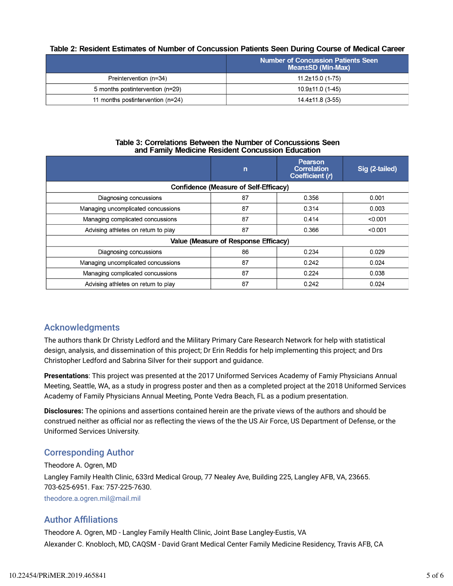#### Table 2: Resident Estimates of Number of Concussion Patients Seen During Course of Medical Career

|                                   | <b>Number of Concussion Patients Seen</b><br>Mean±SD (Min-Max) |  |  |
|-----------------------------------|----------------------------------------------------------------|--|--|
| Preintervention (n=34)            | $11.2 \pm 15.0$ (1-75)                                         |  |  |
| 5 months postintervention (n=29)  | $10.9\pm11.0$ (1-45)                                           |  |  |
| 11 months postintervention (n=24) | $14.4 \pm 11.8$ (3-55)                                         |  |  |

#### Table 3: Correlations Between the Number of Concussions Seen and Family Medicine Resident Concussion Education

|                                              | $\mathsf{n}$ | Pearson<br><b>Correlation</b><br>Coefficient (r) | Sig (2-tailed) |  |  |  |  |  |
|----------------------------------------------|--------------|--------------------------------------------------|----------------|--|--|--|--|--|
| <b>Confidence (Measure of Self-Efficacy)</b> |              |                                                  |                |  |  |  |  |  |
| Diagnosing concussions                       | 87           | 0.356                                            | 0.001          |  |  |  |  |  |
| Managing uncomplicated concussions           | 87           | 0.314                                            | 0.003          |  |  |  |  |  |
| Managing complicated concussions             | 87           | 0.414                                            | < 0.001        |  |  |  |  |  |
| Advising athletes on return to play          | 87           | 0.366                                            | < 0.001        |  |  |  |  |  |
| Value (Measure of Response Efficacy)         |              |                                                  |                |  |  |  |  |  |
| Diagnosing concussions                       | 86           | 0.234                                            | 0.029          |  |  |  |  |  |
| Managing uncomplicated concussions           | 87           | 0.242                                            | 0.024          |  |  |  |  |  |
| Managing complicated concussions             | 87           | 0.224                                            | 0.038          |  |  |  |  |  |
| Advising athletes on return to play          | 87           | 0.242                                            | 0.024          |  |  |  |  |  |

#### Acknowledgments

The authors thank Dr Christy Ledford and the Military Primary Care Research Network for help with statistical design, analysis, and dissemination of this project; Dr Erin Reddis for help implementing this project; and Drs Christopher Ledford and Sabrina Silver for their support and guidance.

**Presentations**: This project was presented at the 2017 Uniformed Services Academy of Famiy Physicians Annual Meeting, Seattle, WA, as a study in progress poster and then as a completed project at the 2018 Uniformed Services Academy of Family Physicians Annual Meeting, Ponte Vedra Beach, FL as a podium presentation.

**Disclosures:** The opinions and assertions contained herein are the private views of the authors and should be construed neither as official nor as reflecting the views of the the US Air Force, US Department of Defense, or the Uniformed Services University.

#### Corresponding Author

Theodore A. Ogren, MD Langley Family Health Clinic, 633rd Medical Group, 77 Nealey Ave, Building 225, Langley AFB, VA, 23665. 703-625-6951. Fax: 757-225-7630. theodore.a.ogren.mil@mail.mil

#### **Author Affiliations**

Theodore A. Ogren, MD - Langley Family Health Clinic, Joint Base Langley-Eustis, VA Alexander C. Knobloch, MD, CAQSM - David Grant Medical Center Family Medicine Residency, Travis AFB, CA